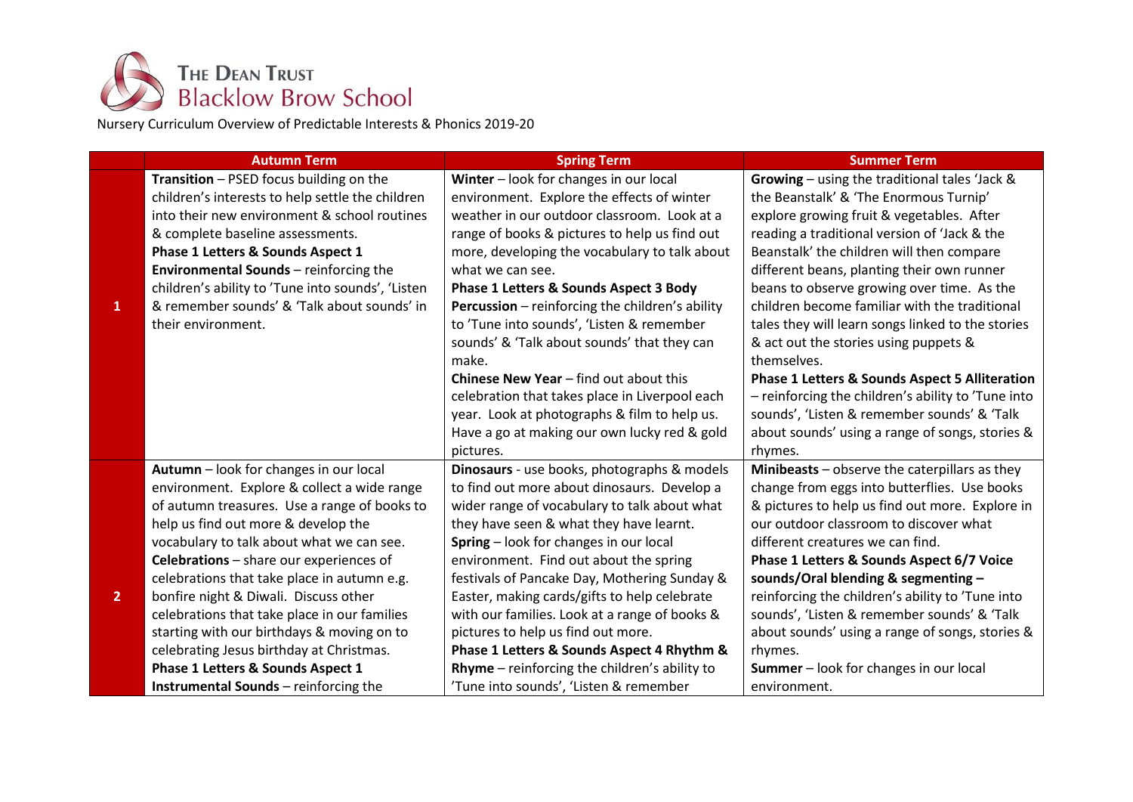

Nursery Curriculum Overview of Predictable Interests & Phonics 2019-20

|                | <b>Autumn Term</b>                                | <b>Spring Term</b>                                     | <b>Summer Term</b>                                        |
|----------------|---------------------------------------------------|--------------------------------------------------------|-----------------------------------------------------------|
|                | Transition - PSED focus building on the           | Winter - look for changes in our local                 | Growing - using the traditional tales 'Jack &             |
|                | children's interests to help settle the children  | environment. Explore the effects of winter             | the Beanstalk' & 'The Enormous Turnip'                    |
|                | into their new environment & school routines      | weather in our outdoor classroom. Look at a            | explore growing fruit & vegetables. After                 |
|                | & complete baseline assessments.                  | range of books & pictures to help us find out          | reading a traditional version of 'Jack & the              |
|                | Phase 1 Letters & Sounds Aspect 1                 | more, developing the vocabulary to talk about          | Beanstalk' the children will then compare                 |
|                | <b>Environmental Sounds</b> - reinforcing the     | what we can see.                                       | different beans, planting their own runner                |
|                | children's ability to 'Tune into sounds', 'Listen | Phase 1 Letters & Sounds Aspect 3 Body                 | beans to observe growing over time. As the                |
| 1              | & remember sounds' & 'Talk about sounds' in       | <b>Percussion</b> – reinforcing the children's ability | children become familiar with the traditional             |
|                | their environment.                                | to 'Tune into sounds', 'Listen & remember              | tales they will learn songs linked to the stories         |
|                |                                                   | sounds' & 'Talk about sounds' that they can            | & act out the stories using puppets &                     |
|                |                                                   | make.                                                  | themselves.                                               |
|                |                                                   | <b>Chinese New Year - find out about this</b>          | <b>Phase 1 Letters &amp; Sounds Aspect 5 Alliteration</b> |
|                |                                                   | celebration that takes place in Liverpool each         | - reinforcing the children's ability to 'Tune into        |
|                |                                                   | year. Look at photographs & film to help us.           | sounds', 'Listen & remember sounds' & 'Talk               |
|                |                                                   | Have a go at making our own lucky red & gold           | about sounds' using a range of songs, stories &           |
|                |                                                   | pictures.                                              | rhymes.                                                   |
|                | Autumn - look for changes in our local            | Dinosaurs - use books, photographs & models            | Minibeasts - observe the caterpillars as they             |
|                | environment. Explore & collect a wide range       | to find out more about dinosaurs. Develop a            | change from eggs into butterflies. Use books              |
|                | of autumn treasures. Use a range of books to      | wider range of vocabulary to talk about what           | & pictures to help us find out more. Explore in           |
|                | help us find out more & develop the               | they have seen & what they have learnt.                | our outdoor classroom to discover what                    |
|                | vocabulary to talk about what we can see.         | Spring - look for changes in our local                 | different creatures we can find.                          |
|                | Celebrations - share our experiences of           | environment. Find out about the spring                 | Phase 1 Letters & Sounds Aspect 6/7 Voice                 |
|                | celebrations that take place in autumn e.g.       | festivals of Pancake Day, Mothering Sunday &           | sounds/Oral blending & segmenting -                       |
| $\overline{2}$ | bonfire night & Diwali. Discuss other             | Easter, making cards/gifts to help celebrate           | reinforcing the children's ability to 'Tune into          |
|                | celebrations that take place in our families      | with our families. Look at a range of books &          | sounds', 'Listen & remember sounds' & 'Talk               |
|                | starting with our birthdays & moving on to        | pictures to help us find out more.                     | about sounds' using a range of songs, stories &           |
|                | celebrating Jesus birthday at Christmas.          | Phase 1 Letters & Sounds Aspect 4 Rhythm &             | rhymes.                                                   |
|                | Phase 1 Letters & Sounds Aspect 1                 | <b>Rhyme</b> $-$ reinforcing the children's ability to | <b>Summer</b> - look for changes in our local             |
|                | <b>Instrumental Sounds</b> - reinforcing the      | 'Tune into sounds', 'Listen & remember                 | environment.                                              |